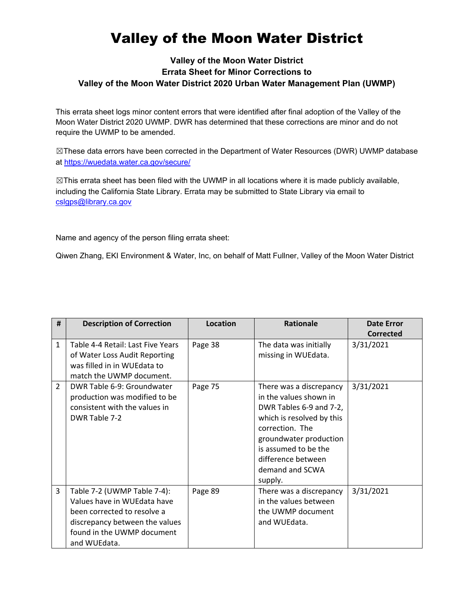## Valley of the Moon Water District

## **Valley of the Moon Water District Errata Sheet for Minor Corrections to Valley of the Moon Water District 2020 Urban Water Management Plan (UWMP)**

This errata sheet logs minor content errors that were identified after final adoption of the Valley of the Moon Water District 2020 UWMP. DWR has determined that these corrections are minor and do not require the UWMP to be amended.

☒These data errors have been corrected in the Department of Water Resources (DWR) UWMP database at<https://wuedata.water.ca.gov/secure/>

☒This errata sheet has been filed with the UWMP in all locations where it is made publicly available, including the California State Library. Errata may be submitted to State Library via email to [cslgps@library.ca.gov](mailto:cslgps@library.ca.gov)

Name and agency of the person filing errata sheet:

Qiwen Zhang, EKI Environment & Water, Inc, on behalf of Matt Fullner, Valley of the Moon Water District

| #              | <b>Description of Correction</b>                                                                                                                                          | <b>Location</b> | <b>Rationale</b>                                                                                                                                                                                                                   | <b>Date Error</b> |
|----------------|---------------------------------------------------------------------------------------------------------------------------------------------------------------------------|-----------------|------------------------------------------------------------------------------------------------------------------------------------------------------------------------------------------------------------------------------------|-------------------|
|                |                                                                                                                                                                           |                 |                                                                                                                                                                                                                                    | <b>Corrected</b>  |
| $\mathbf{1}$   | Table 4-4 Retail: Last Five Years<br>of Water Loss Audit Reporting<br>was filled in in WUEdata to<br>match the UWMP document.                                             | Page 38         | The data was initially<br>missing in WUEdata.                                                                                                                                                                                      | 3/31/2021         |
| $\overline{2}$ | DWR Table 6-9: Groundwater<br>production was modified to be<br>consistent with the values in<br>DWR Table 7-2                                                             | Page 75         | There was a discrepancy<br>in the values shown in<br>DWR Tables 6-9 and 7-2,<br>which is resolved by this<br>correction. The<br>groundwater production<br>is assumed to be the<br>difference between<br>demand and SCWA<br>supply. | 3/31/2021         |
| 3              | Table 7-2 (UWMP Table 7-4):<br>Values have in WUEdata have<br>been corrected to resolve a<br>discrepancy between the values<br>found in the UWMP document<br>and WUEdata. | Page 89         | There was a discrepancy<br>in the values between<br>the UWMP document<br>and WUEdata.                                                                                                                                              | 3/31/2021         |